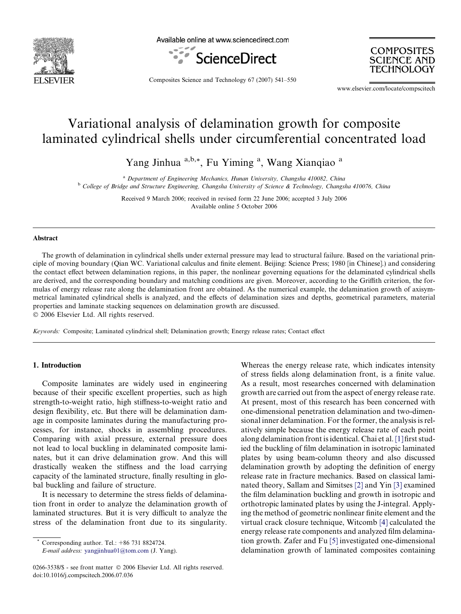

Available online at www.sciencedirect.com



**COMPOSITES** SCIENCE AND **TECHNOLOGY** 

Composites Science and Technology 67 (2007) 541–550

www.elsevier.com/locate/compscitech

# Variational analysis of delamination growth for composite laminated cylindrical shells under circumferential concentrated load

Yang Jinhua a,b,\*, Fu Yiming <sup>a</sup>, Wang Xianqiao a

<sup>a</sup> Department of Engineering Mechanics, Hunan University, Changsha 410082, China <sup>b</sup> College of Bridge and Structure Engineering, Changsha University of Science & Technology, Changsha 410076, China

> Received 9 March 2006; received in revised form 22 June 2006; accepted 3 July 2006 Available online 5 October 2006

## Abstract

The growth of delamination in cylindrical shells under external pressure may lead to structural failure. Based on the variational principle of moving boundary (Qian WC. Variational calculus and finite element. Beijing: Science Press; 1980 [in Chinese].) and considering the contact effect between delamination regions, in this paper, the nonlinear governing equations for the delaminated cylindrical shells are derived, and the corresponding boundary and matching conditions are given. Moreover, according to the Griffith criterion, the formulas of energy release rate along the delamination front are obtained. As the numerical example, the delamination growth of axisymmetrical laminated cylindrical shells is analyzed, and the effects of delamination sizes and depths, geometrical parameters, material properties and laminate stacking sequences on delamination growth are discussed.

 $© 2006 Elsevier Ltd. All rights reserved.$ 

Keywords: Composite; Laminated cylindrical shell; Delamination growth; Energy release rates; Contact effect

## 1. Introduction

Composite laminates are widely used in engineering because of their specific excellent properties, such as high strength-to-weight ratio, high stiffness-to-weight ratio and design flexibility, etc. But there will be delamination damage in composite laminates during the manufacturing processes, for instance, shocks in assembling procedures. Comparing with axial pressure, external pressure does not lead to local buckling in delaminated composite laminates, but it can drive delamination grow. And this will drastically weaken the stiffness and the load carrying capacity of the laminated structure, finally resulting in global buckling and failure of structure.

It is necessary to determine the stress fields of delamination front in order to analyze the delamination growth of laminated structures. But it is very difficult to analyze the stress of the delamination front due to its singularity.

Corresponding author. Tel.:  $+86$  731 8824724.

E-mail address: [yangjinhua01@tom.com](mailto:yangjinhua01@tom.com) (J. Yang).

Whereas the energy release rate, which indicates intensity of stress fields along delamination front, is a finite value. As a result, most researches concerned with delamination growth are carried out from the aspect of energy release rate. At present, most of this research has been concerned with one-dimensional penetration delamination and two-dimensional inner delamination. For the former, the analysis is relatively simple because the energy release rate of each point along delamination front is identical. Chai et al. [\[1\]](#page-9-0) first studied the buckling of film delamination in isotropic laminated plates by using beam-column theory and also discussed delamination growth by adopting the definition of energy release rate in fracture mechanics. Based on classical laminated theory, Sallam and Simitses [\[2\]](#page-9-0) and Yin [\[3\]](#page-9-0) examined the film delamination buckling and growth in isotropic and orthotropic laminated plates by using the J-integral. Applying the method of geometric nonlinear finite element and the virtual crack closure technique, Witcomb [\[4\]](#page-9-0) calculated the energy release rate components and analyzed film delamination growth. Zafer and Fu [\[5\]](#page-9-0) investigated one-dimensional delamination growth of laminated composites containing

<sup>0266-3538/\$ -</sup> see front matter © 2006 Elsevier Ltd. All rights reserved. doi:10.1016/j.compscitech.2006.07.036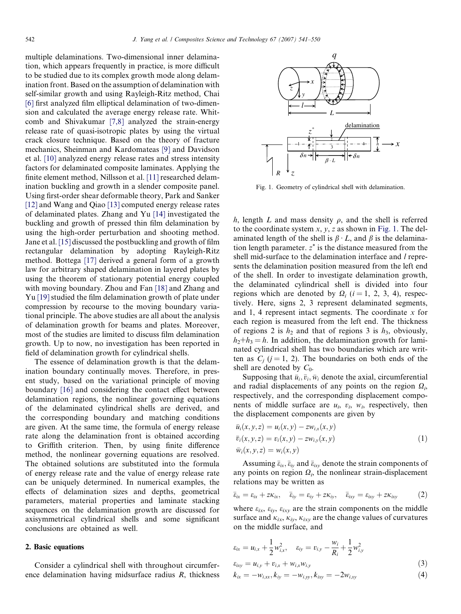<span id="page-1-0"></span>multiple delaminations. Two-dimensional inner delamination, which appears frequently in practice, is more difficult to be studied due to its complex growth mode along delamination front. Based on the assumption of delamination with self-similar growth and using Rayleigh-Ritz method, Chai [\[6\]](#page-9-0) first analyzed film elliptical delamination of two-dimension and calculated the average energy release rate. Whitcomb and Shivakumar [\[7,8\]](#page-9-0) analyzed the strain-energy release rate of quasi-isotropic plates by using the virtual crack closure technique. Based on the theory of fracture mechanics, Sheinman and Kardomateas [\[9\]](#page-9-0) and Davidson et al. [\[10\]](#page-9-0) analyzed energy release rates and stress intensity factors for delaminated composite laminates. Applying the finite element method, Nillsson et al. [\[11\]](#page-9-0) researched delamination buckling and growth in a slender composite panel. Using first-order shear deformable theory, Park and Sanker [\[12\]](#page-9-0) and Wang and Qiao [\[13\]](#page-9-0) computed energy release rates of delaminated plates. Zhang and Yu [\[14\]](#page-9-0) investigated the buckling and growth of pressed thin film delamination by using the high-order perturbation and shooting method. Jane et al. [\[15\]](#page-9-0) discussed the postbuckling and growth of film rectangular delamination by adopting Rayleigh-Ritz method. Bottega [\[17\]](#page-9-0) derived a general form of a growth law for arbitrary shaped delamination in layered plates by using the theorem of stationary potential energy coupled with moving boundary. Zhou and Fan [\[18\]](#page-9-0) and Zhang and Yu [\[19\]](#page-9-0) studied the film delamination growth of plate under compression by recourse to the moving boundary variational principle. The above studies are all about the analysis of delamination growth for beams and plates. Moreover, most of the studies are limited to discuss film delamination growth. Up to now, no investigation has been reported in field of delamination growth for cylindrical shells.

The essence of delamination growth is that the delamination boundary continually moves. Therefore, in present study, based on the variational principle of moving boundary [\[16\]](#page-9-0) and considering the contact effect between delamination regions, the nonlinear governing equations of the delaminated cylindrical shells are derived, and the corresponding boundary and matching conditions are given. At the same time, the formula of energy release rate along the delamination front is obtained according to Griffith criterion. Then, by using finite difference method, the nonlinear governing equations are resolved. The obtained solutions are substituted into the formula of energy release rate and the value of energy release rate can be uniquely determined. In numerical examples, the effects of delamination sizes and depths, geometrical parameters, material properties and laminate stacking sequences on the delamination growth are discussed for axisymmetrical cylindrical shells and some significant conclusions are obtained as well.

## 2. Basic equations

Consider a cylindrical shell with throughout circumference delamination having midsurface radius R, thickness



Fig. 1. Geometry of cylindrical shell with delamination.

h, length L and mass density  $\rho$ , and the shell is referred to the coordinate system  $x, y, z$  as shown in Fig. 1. The delaminated length of the shell is  $\beta \cdot L$ , and  $\beta$  is the delamination length parameter.  $z^*$  is the distance measured from the shell mid-surface to the delamination interface and *l* represents the delamination position measured from the left end of the shell. In order to investigate delamination growth, the delaminated cylindrical shell is divided into four regions which are denoted by  $\Omega_i$  (i = 1, 2, 3, 4), respectively. Here, signs 2, 3 represent delaminated segments, and 1, 4 represent intact segments. The coordinate  $x$  for each region is measured from the left end. The thickness of regions 2 is  $h_2$  and that of regions 3 is  $h_3$ , obviously,  $h_2+h_3=h$ . In addition, the delamination growth for laminated cylindrical shell has two boundaries which are written as  $C_i$  ( $j = 1, 2$ ). The boundaries on both ends of the shell are denoted by  $C_0$ .

Supposing that  $\bar{u}_i, \bar{v}_i, \bar{w}_i$  denote the axial, circumferential and radial displacements of any points on the region  $\Omega_i$ , respectively, and the corresponding displacement components of middle surface are  $u_i$ ,  $v_i$ ,  $w_i$ , respectively, then the displacement components are given by

$$
\bar{u}_i(x, y, z) = u_i(x, y) - zw_{i,x}(x, y) \n\bar{v}_i(x, y, z) = v_i(x, y) - zw_{i,y}(x, y) \n\bar{w}_i(x, y, z) = w_i(x, y)
$$
\n(1)

Assuming  $\bar{\varepsilon}_{ix}$ ,  $\bar{\varepsilon}_{iy}$  and  $\bar{\varepsilon}_{ixy}$  denote the strain components of any points on region  $\Omega_i$ , the nonlinear strain-displacement relations may be written as

$$
\bar{\varepsilon}_{ix} = \varepsilon_{ix} + z\kappa_{ix}, \quad \bar{\varepsilon}_{iy} = \varepsilon_{iy} + z\kappa_{iy}, \quad \bar{\varepsilon}_{ixy} = \varepsilon_{ixy} + z\kappa_{ixy}
$$
(2)

where  $\varepsilon_{ix}$ ,  $\varepsilon_{iy}$ ,  $\varepsilon_{ixy}$  are the strain components on the middle surface and  $\kappa_{ix}$ ,  $\kappa_{iy}$ ,  $\kappa_{ixy}$  are the change values of curvatures on the middle surface, and

$$
\varepsilon_{ix} = u_{i,x} + \frac{1}{2} w_{i,x}^2, \quad \varepsilon_{iy} = v_{i,y} - \frac{w_i}{R_i} + \frac{1}{2} w_{i,y}^2
$$
  

$$
\varepsilon_{ixy} = u_{i,y} + v_{i,x} + w_{i,x} w_{i,y}
$$
 (3)

$$
k_{ix} = -w_{i,xx}, k_{iy} = -w_{i,yy}, k_{ixy} = -2w_{i,xy}
$$
(4)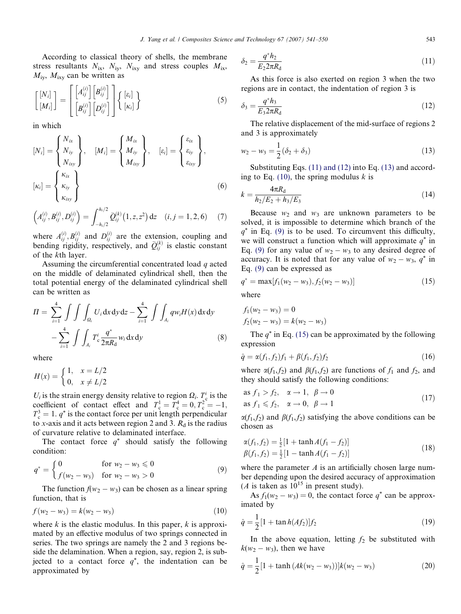<span id="page-2-0"></span>According to classical theory of shells, the membrane stress resultants  $N_{ix}$ ,  $N_{iy}$ ,  $N_{ixy}$  and stress couples  $M_{ix}$ ,  $M_{\text{iy}}$ ,  $M_{\text{ixy}}$  can be written as

$$
\begin{bmatrix}\n[N_i] \\
[M_i]\n\end{bmatrix} = \begin{bmatrix}\nA_{ij}^{(i)} \begin{bmatrix} B_{ij}^{(i)} \end{bmatrix} \\
B_{ij}^{(i)} \end{bmatrix} \begin{bmatrix} D_{ij}^{(i)} \end{bmatrix} \begin{bmatrix} \varepsilon_i \\ \kappa_i \end{bmatrix}
$$
\n(5)

in which

$$
[N_i] = \begin{Bmatrix} N_{ix} \\ N_{iy} \\ N_{ixy} \end{Bmatrix}, \quad [M_i] = \begin{Bmatrix} M_{ix} \\ M_{iy} \\ M_{ixy} \end{Bmatrix}, \quad [ \varepsilon_i ] = \begin{Bmatrix} \varepsilon_{ix} \\ \varepsilon_{iy} \\ \varepsilon_{ixy} \end{Bmatrix},
$$

$$
[ \kappa_i ] = \begin{Bmatrix} \kappa_{ix} \\ \kappa_{iy} \\ \kappa_{ixy} \end{Bmatrix}
$$
(6)

$$
\left(A_{ij}^{(i)},B_{ij}^{(i)},D_{ij}^{(i)}\right)=\int_{-h_i/2}^{h_i/2}\bar{Q}_{ij}^{(k)}(1,z,z^2)\,\mathrm{d}z\quad(i,j=1,2,6)\quad(7)
$$

where  $A_{ij}^{(i)}, B_{ij}^{(i)}$  and  $D_{ij}^{(i)}$  are the extension, coupling and bending rigidity, respectively, and  $\bar{Q}_{ij}^{(k)}$  is elastic constant of the kth layer.

Assuming the circumferential concentrated load q acted on the middle of delaminated cylindrical shell, then the total potential energy of the delaminated cylindrical shell can be written as

$$
\Pi = \sum_{i=1}^{4} \int \int \int \int_{\Omega_i} U_i dx dy dz - \sum_{i=1}^{4} \int \int_{A_i} q w_i H(x) dx dy
$$
  
- 
$$
\sum_{i=1}^{4} \int \int_{A_i} T_c^i \frac{q^*}{2\pi R_d} w_i dx dy
$$
 (8)

where

$$
H(x) = \begin{cases} 1, & x = L/2 \\ 0, & x \neq L/2 \end{cases}
$$

 $U_i$  is the strain energy density relative to region  $\Omega_i$ .  $T_c^i$  is the coefficient of contact effect and  $T_c^1 = T_c^4 = 0, T_c^2 = -1,$  $T_c^3 = 1$ .  $q^*$  is the contact force per unit length perpendicular to x-axis and it acts between region 2 and 3.  $R_d$  is the radius of curvature relative to delaminated interface.

The contact force  $q^*$  should satisfy the following condition:

$$
q^* = \begin{cases} 0 & \text{for } w_2 - w_3 \le 0 \\ f(w_2 - w_3) & \text{for } w_2 - w_3 > 0 \end{cases}
$$
 (9)

The function  $f(w_2 - w_3)$  can be chosen as a linear spring function, that is

$$
f(w_2 - w_3) = k(w_2 - w_3)
$$
 (10)

where  $k$  is the elastic modulus. In this paper,  $k$  is approximated by an effective modulus of two springs connected in series. The two springs are namely the 2 and 3 regions beside the delamination. When a region, say, region 2, is subjected to a contact force  $q^*$ , the indentation can be approximated by

$$
\delta_2 = \frac{q^* h_2}{E_2 2\pi R_{\rm d}}\tag{11}
$$

As this force is also exerted on region 3 when the two regions are in contact, the indentation of region 3 is

$$
\delta_3 = \frac{q^* h_3}{E_3 2\pi R_\mathrm{d}}\tag{12}
$$

The relative displacement of the mid-surface of regions 2 and 3 is approximately

$$
w_2 - w_3 = \frac{1}{2} (\delta_2 + \delta_3)
$$
 (13)

Substituting Eqs. (11) and (12) into Eq. (13) and according to Eq. (10), the spring modulus  $k$  is

$$
k = \frac{4\pi R_{\rm d}}{h_2/E_2 + h_3/E_3} \tag{14}
$$

Because  $w_2$  and  $w_3$  are unknown parameters to be solved, it is impossible to determine which branch of the  $q^*$  in Eq. (9) is to be used. To circumvent this difficulty, we will construct a function which will approximate  $q^*$  in Eq. (9) for any value of  $w_2 - w_3$  to any desired degree of accuracy. It is noted that for any value of  $w_2 - w_3$ ,  $q^*$  in Eq. (9) can be expressed as

$$
q^* = \max[f_1(w_2 - w_3), f_2(w_2 - w_3)] \tag{15}
$$

where

$$
f_1(w_2 - w_3) = 0
$$
  

$$
f_2(w_2 - w_3) = k(w_2 - w_3)
$$

The  $q^*$  in Eq. (15) can be approximated by the following expression

$$
\hat{q} = \alpha(f_1, f_2)f_1 + \beta(f_1, f_2)f_2 \tag{16}
$$

where  $\alpha(f_1, f_2)$  and  $\beta(f_1, f_2)$  are functions of  $f_1$  and  $f_2$ , and they should satisfy the following conditions:

as 
$$
f_1 > f_2
$$
,  $\alpha \to 1$ ,  $\beta \to 0$   
as  $f_1 \le f_2$ ,  $\alpha \to 0$ ,  $\beta \to 1$  (17)

 $\alpha(f_1, f_2)$  and  $\beta(f_1, f_2)$  satisfying the above conditions can be chosen as

$$
\alpha(f_1, f_2) = \frac{1}{2} [1 + \tanh A(f_1 - f_2)]
$$
  
\n
$$
\beta(f_1, f_2) = \frac{1}{2} [1 - \tanh A(f_1 - f_2)]
$$
\n(18)

where the parameter  $A$  is an artificially chosen large number depending upon the desired accuracy of approximation (*A* is taken as  $10^{15}$  in present study).

As  $f_1(w_2 - w_3) = 0$ , the contact force  $q^*$  can be approximated by

$$
\hat{q} = \frac{1}{2} [1 + \tan h(At_2)] f_2 \tag{19}
$$

In the above equation, letting  $f_2$  be substituted with  $k(w_2 - w_3)$ , then we have

$$
\hat{q} = \frac{1}{2} [1 + \tanh(Ak(w_2 - w_3))]k(w_2 - w_3)
$$
\n(20)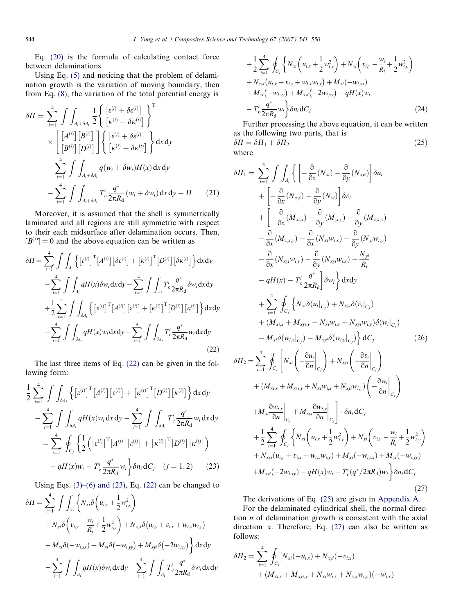<span id="page-3-0"></span>Eq. [\(20\)](#page-2-0) is the formula of calculating contact force between delaminations.

Using Eq. [\(5\)](#page-2-0) and noticing that the problem of delamination growth is the variation of moving boundary, then from Eq. [\(8\),](#page-2-0) the variation of the total potential energy is

$$
\delta\Pi = \sum_{i=1}^{4} \int \int_{A_i + \delta A_i} \frac{1}{2} \left\{ \begin{bmatrix} \varepsilon^{(i)} + \delta \varepsilon^{(i)} \\ \left[\kappa^{(i)} + \delta \kappa^{(i)}\right] \end{bmatrix} \right\}^{\mathrm{T}} \times \left\{ \begin{bmatrix} \left[A^{(i)}\right] \left[B^{(i)}\right] \\ \left[B^{(i)}\right] \left[D^{(i)}\right] \end{bmatrix} \right\} \left\{ \begin{bmatrix} \varepsilon^{(i)} + \delta \varepsilon^{(i)} \\ \left[\kappa^{(i)} + \delta \kappa^{(i)}\right] \end{bmatrix} \right\} \mathrm{d}x \mathrm{d}y
$$

$$
- \sum_{i=1}^{4} \int \int_{A_i + \delta A_i} q(w_i + \delta w_i) H(x) \mathrm{d}x \mathrm{d}y
$$

$$
- \sum_{i=1}^{4} \int \int_{A_i + \delta A_i} T_{\mathrm{c}}^i \frac{q^*}{2\pi R_{\mathrm{d}}}(w_i + \delta w_i) \mathrm{d}x \mathrm{d}y - \Pi \qquad (21)
$$

Moreover, it is assumed that the shell is symmetrically laminated and all regions are still symmetric with respect to their each midsurface after delamination occurs. Then,  $[B^{(i)}] = 0$  and the above equation can be written as

$$
\delta\Pi = \sum_{i=1}^{4} \int \int_{A_i} \left\{ \left[ e^{(i)} \right]^{\mathrm{T}} \left[ A^{(i)} \right] \left[ \delta e^{(i)} \right] + \left[ \kappa^{(i)} \right]^{\mathrm{T}} \left[ D^{(i)} \right] \left[ \delta \kappa^{(i)} \right] \right\} dxdy
$$
  
- 
$$
\sum_{i=1}^{4} \int \int_{A_i} q H(x) \delta w_i dx dy - \sum_{i=1}^{4} \int \int_{A_i} T_{c}^{i} \frac{q^{*}}{2\pi R_d} \delta w_i dx dy
$$
  
+ 
$$
\frac{1}{2} \sum_{i=1}^{4} \int \int_{\delta A_i} \left\{ \left[ e^{(i)} \right]^{\mathrm{T}} \left[ A^{(i)} \right] \left[ e^{(i)} \right] + \left[ \kappa^{(i)} \right]^{\mathrm{T}} \left[ D^{(i)} \right] \left[ \kappa^{(i)} \right] \right\} dxdy
$$
  
- 
$$
\sum_{i=1}^{4} \int \int_{\delta A_i} q H(x) w_i dx dy - \sum_{i=1}^{4} \int \int_{\delta A_i} T_{c}^{i} \frac{q^{*}}{2\pi R_d} w_i dx dy
$$
(22)

The last three items of Eq. (22) can be given in the following form:

$$
\frac{1}{2} \sum_{i=1}^{4} \int \int_{\delta A_{i}} \left\{ \left[ \varepsilon^{(i)} \right]^{T} \left[ A^{(i)} \right] \left[ \varepsilon^{(i)} \right] + \left[ \kappa^{(i)} \right]^{T} \left[ D^{(i)} \right] \left[ \kappa^{(i)} \right] \right\} dxdy
$$
\n
$$
- \sum_{i=1}^{4} \int \int_{\delta A_{i}} qH(x)w_{i} dx dy - \sum_{i=1}^{4} \int \int_{\delta A_{i}} T_{c}^{i} \frac{q^{*}}{2\pi R_{d}} w_{i} dx dy
$$
\n
$$
= \sum_{i=1}^{4} \oint_{C_{j}} \left\{ \frac{1}{2} \left( \left[ \varepsilon^{(i)} \right]^{T} \left[ A^{(i)} \right] \left[ \varepsilon^{(i)} \right] + \left[ \kappa^{(i)} \right]^{T} \left[ D^{(i)} \right] \left[ \kappa^{(i)} \right] \right\}
$$
\n
$$
- qH(x)w_{i} - T_{c}^{i} \frac{q^{*}}{2\pi R_{d}} w_{i} \right\} \delta n_{i} dC_{j} \quad (j = 1, 2) \tag{23}
$$

Using Eqs.  $(3)$ – $(6)$  and  $(23)$ , Eq.  $(22)$  can be changed to

$$
\delta \Pi = \sum_{i=1}^{4} \int \int_{A_i} \left\{ N_{xi} \delta \left( u_{i,x} + \frac{1}{2} w_{i,x}^2 \right) \right.+ N_{yi} \delta \left( v_{i,y} - \frac{w_i}{R_i} + \frac{1}{2} w_{i,y}^2 \right) + N_{xyi} \delta (u_{i,y} + v_{i,x} + w_{i,x} w_{i,y}) + M_{xi} \delta (-w_{i,xx}) + M_{yi} \delta (-w_{i,yy}) + M_{xyi} \delta (-2w_{i,xy}) \right\} dxdy - \sum_{i=1}^{4} \int \int_{A_i} qH(x) \delta w_i dx dy - \sum_{i=1}^{4} \int \int_{A_i} T_c^i \frac{q^*}{2\pi R_d} \delta w_i dx dy
$$

$$
+\frac{1}{2}\sum_{i=1}^{4}\oint_{C_j}\left\{N_{xi}\left(u_{i,x}+\frac{1}{2}w_{i,x}^2\right)+N_{yi}\left(v_{i,y}-\frac{w_i}{R_i}+\frac{1}{2}w_{i,y}^2\right) +N_{xji}\left(u_{i,y}+v_{i,x}+w_{i,x}w_{i,y}\right)+M_{xi}(-w_{i,xx}) +M_{yi}(-w_{i,yy})+M_{xyi}\left(-2w_{i,xy}\right)-qH(x)w_i -T_c^i\frac{q^*}{2\pi R_d}w_i\right\}\delta n_i dC_j
$$
\n(24)

Further processing the above equation, it can be written as the following two parts, that is  $\delta \Pi = \delta \Pi_1 + \delta \Pi_2$  (25)

where

$$
\delta\Pi_{1} = \sum_{i=1}^{4} \int \int \int_{A_{i}} \left\{ \left[ -\frac{\partial}{\partial x} (N_{xi}) - \frac{\partial}{\partial y} (N_{xyi}) \right] \delta u_{i} \right\} \n+ \left[ -\frac{\partial}{\partial x} (N_{xyi}) - \frac{\partial}{\partial y} (N_{yi}) \right] \delta v_{i} \n+ \left[ -\frac{\partial}{\partial x} (M_{x_ix}) - \frac{\partial}{\partial y} (M_{yiy}) - \frac{\partial}{\partial y} (M_{xyi,x}) \right] \n- \frac{\partial}{\partial x} (M_{xyi,y}) - \frac{\partial}{\partial x} (N_{xi} w_{i,x}) - \frac{\partial}{\partial y} (N_{yi} w_{i,y}) \n- \frac{\partial}{\partial x} (N_{xyi} w_{i,y}) - \frac{\partial}{\partial y} (N_{xyi} w_{i,x}) - \frac{N_{yi}}{R_{i}} \n- qH(x) - T_{c}^{i} \frac{q^{*}}{2\pi R_{d}} \delta w_{i} \right\} dxdy \n+ \sum_{i=1}^{4} \oint_{C_{i}} \left\{ N_{xi} \delta(u_{i}|_{C_{j}}) + N_{xyi} \delta(v_{i}|_{C_{j}}) \n+ (M_{xix} + M_{xyi,y} + N_{xi} w_{i,x} + N_{xyi} w_{i,y}) \delta(w_{i}|_{C_{j}}) \n- M_{xi} \delta(w_{i,x}|_{C_{j}}) - M_{xyi} \delta(w_{i,y}|_{C_{j}}) \right\} dC_{j} \qquad (26)
$$
  
\n
$$
\delta H_{2} = \sum_{i=1}^{4} \oint_{C_{i}} \left[ N_{xi} \left( -\frac{\partial u_{i}}{\partial n} \bigg|_{C_{j}} \right) + N_{xyi} \left( -\frac{\partial v_{i}}{\partial n} \bigg|_{C_{j}} \right) \n+ (M_{xix} + M_{xyi,y} + N_{xi} w_{i,x} + N_{xyi} w_{i,y}) \left( -\frac{\partial w_{i}}{\partial n} \bigg|_{C_{j}} \right) \n+ M_{xix} \left[ M_{xix} \left( -\frac{\partial u_{i}}{\partial n} \bigg|_{C_{j}} \right) + \delta n_{x} dC_{i} \right]
$$

$$
+M_{xi}\frac{\partial W_{i,x}}{\partial n}\Big|_{C_j} + M_{xyi}\frac{\partial W_{i,y}}{\partial n}\Big|_{C_j}\Big] \cdot \delta n_i dC_j
$$
  
+ 
$$
\frac{1}{2} \sum_{i=1}^4 \oint_{C_j} \left\{ N_{xi} \left( u_{i,x} + \frac{1}{2} w_{i,x}^2 \right) + N_{yi} \left( v_{i,y} - \frac{w_i}{R_i} + \frac{1}{2} w_{i,y}^2 \right) \right. \\ + N_{xyi}(u_{i,y} + v_{i,x} + w_{i,x} w_{i,y}) + M_{xi}(-w_{i,xx}) + M_{yi}(-w_{i,yy})
$$
  
+ 
$$
M_{xyi}(-2w_{i,xy}) - qH(x)w_i - T_c'(q^*/2\pi R_d)w_i \left\{ \delta n_i dC_j \right. \tag{27}
$$

The derivations of Eq. (25) are given in Appendix A. For the delaminated cylindrical shell, the normal direction  $n$  of delamination growth is consistent with the axial direction  $x$ . Therefore, Eq. (27) can also be written as follows:

$$
\delta\Pi_2 = \sum_{i=1}^4 \oint_{C_j} [N_{xi}(-u_{i,x}) + N_{xyi}(-v_{i,x}) + (M_{xix} + M_{xyi,y} + N_{xi}w_{i,x} + N_{xyi}w_{i,y})(-w_{i,x})]
$$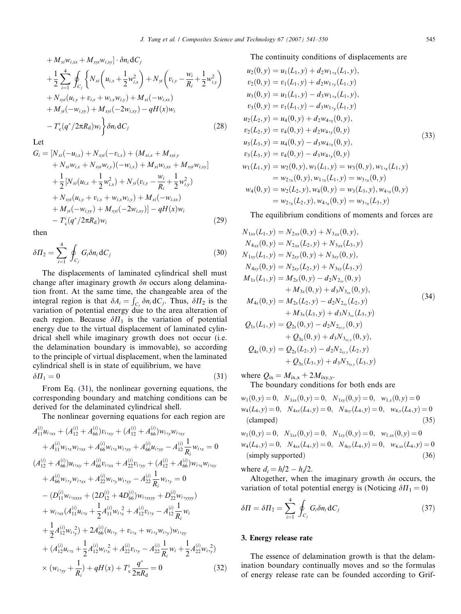<span id="page-4-0"></span>
$$
+ M_{xi} w_{i,xx} + M_{xyi} w_{i,xy} \cdot \delta n_i dC_j + \frac{1}{2} \sum_{i=1}^{4} \oint_{C_j} \left\{ N_{xi} \left( u_{i,x} + \frac{1}{2} w_{i,x}^2 \right) + N_{yi} \left( v_{i,y} - \frac{w_i}{R_i} + \frac{1}{2} w_{i,y}^2 \right) \right. + N_{xyi} (u_{i,y} + v_{i,x} + w_{i,x} w_{i,y}) + M_{xi}(-w_{i,xx}) + M_{yi} (-w_{i,yy}) + M_{xyi} (-2w_{i,xy}) - qH(x) w_i - T_c^i (q^*/2\pi R_d) w_i \left\{ \delta n_i dC_j \right. \tag{28}
$$

Let

$$
G_{i} = [N_{xi}(-u_{i,x}) + N_{xyi}(-v_{i,x}) + (M_{xi,x} + M_{xyi,y}+ N_{xi}w_{i,x} + N_{xyi}w_{i,y})(-w_{i,x}) + M_{xi}w_{i,xx} + M_{xyi}w_{i,xy}] + \frac{1}{2}[N_{xi}(u_{i,x} + \frac{1}{2}w_{i,x}^{2}) + N_{yi}(v_{i,y} - \frac{w_{i}}{R_{i}} + \frac{1}{2}w_{i,y}^{2}) + N_{xyi}(u_{i,y} + v_{i,x} + w_{i,x}w_{i,y}) + M_{xi}(-w_{i,xx}) + M_{yi}(-w_{i,yy}) + M_{xyi}(-2w_{i,xy})] - qH(x)w_{i}
$$
\n(29)

then

$$
\delta \Pi_2 = \sum_{i=1}^4 \oint_{C_j} G_i \delta n_i \, \mathrm{d} C_j \tag{30}
$$

The displacements of laminated cylindrical shell must change after imaginary growth  $\delta n$  occurs along delamination front. At the same time, the changeable area of the integral region is that  $\delta A_i = \int_{C_j} \delta n_i \, dC_j$ . Thus,  $\delta \Pi_2$  is the variation of potential energy due to the area alteration of each region. Because  $\delta\Pi_1$  is the variation of potential energy due to the virtual displacement of laminated cylindrical shell while imaginary growth does not occur (i.e. the delamination boundary is immovable), so according to the principle of virtual displacement, when the laminated cylindrical shell is in state of equilibrium, we have  $\delta\Pi_1 = 0$  (31)

From Eq. (31), the nonlinear governing equations, the corresponding boundary and matching conditions can be derived for the delaminated cylindrical shell.

The nonlinear governing equations for each region are

$$
A_{11}^{(i)}u_{i,xx} + (A_{12}^{(i)} + A_{66}^{(i)})v_{i,xy} + (A_{12}^{(i)} + A_{66}^{(i)})w_{i,yy}w_{i,xy} + A_{11}^{(i)}w_{i,x}w_{i,xx} + A_{66}^{(i)}w_{i,x}w_{i,yy} + A_{66}^{(i)}u_{i,yy} - A_{12}^{(i)}\frac{1}{R_i}w_{i,x} = 0 (A_{12}^{(i)} + A_{66}^{(i)})u_{i,xy} + A_{66}^{(i)}v_{i,xx} + A_{22}^{(i)}v_{i,yy} + (A_{12}^{(i)} + A_{66}^{(i)})w_{i,x}w_{i,xy} + A_{66}^{(i)}w_{i,y}w_{i,xx} + A_{22}^{(i)}w_{i,y}w_{i,yy} - A_{22}^{(i)}\frac{1}{R_i}w_{i,y} = 0 - (D_{11}^{(i)}w_{i,xxxx} + (2D_{12}^{(i)} + 4D_{66}^{(i)})w_{i,xxyy} + D_{22}^{(i)}w_{i,yyyy}) + w_{i,xx}(A_{11}^{(i)}u_{i,x} + \frac{1}{2}A_{11}^{(i)}w_{i,x} + A_{12}^{(i)}v_{i,y} - A_{12}^{(i)}\frac{1}{R_i}w_i + \frac{1}{2}A_{12}^{(i)}w_{i,y} + 2A_{66}^{(i)}(u_{i,y} + v_{i,x} + w_{i,x}w_{i,y})w_{i,xy} + (A_{12}^{(i)}u_{i,x} + \frac{1}{2}A_{12}^{(i)}w_{i,x} + A_{22}^{(i)}v_{i,y} - A_{22}^{(i)}\frac{1}{R_i}w_i + \frac{1}{2}A_{22}^{(i)}w_{i,y}) \times (w_{i,yy} + \frac{1}{R_i}) + qH(x) + T_c^i\frac{q^*}{2\pi R_d} = 0
$$
 (32)

The continuity conditions of displacements are

$$
u_2(0, y) = u_1(L_1, y) + d_2 w_{1,x}(L_1, y),
$$
  
\n
$$
v_2(0, y) = v_1(L_1, y) + d_2 w_{1,y}(L_1, y)
$$
  
\n
$$
u_3(0, y) = u_1(L_1, y) - d_3 w_{1,x}(L_1, y),
$$
  
\n
$$
v_3(0, y) = v_1(L_1, y) - d_3 w_{1,y}(L_1, y)
$$
  
\n
$$
u_2(L_2, y) = u_4(0, y) + d_2 w_{4,x}(0, y),
$$
  
\n
$$
v_2(L_2, y) = v_4(0, y) + d_2 w_{4,y}(0, y)
$$
  
\n
$$
u_3(L_3, y) = u_4(0, y) - d_3 w_{4,x}(0, y),
$$
  
\n
$$
v_3(L_3, y) = v_4(0, y) - d_3 w_{4,y}(0, y)
$$
  
\n
$$
w_1(L_1, y) = w_2(0, y), w_1(L_1, y) = w_3(0, y), w_{1,x}(L_1, y)
$$
  
\n
$$
= w_{2,x}(0, y), w_{1,x}(L_1, y) = w_{3,x}(0, y)
$$
  
\n
$$
w_4(0, y) = w_2(L_2, y), w_4(0, y) = w_{3,x}(L_3, y), w_{4,x}(0, y)
$$
  
\n
$$
= w_{2,x}(L_2, y), w_{4,x}(0, y) = w_{3,x}(L_3, y)
$$

The equilibrium conditions of moments and forces are

$$
N_{1xx}(L_1, y) = N_{2xx}(0, y) + N_{3xx}(0, y),
$$
  
\n
$$
N_{4xx}(0, y) = N_{2xx}(L_2, y) + N_{3xx}(L_3, y)
$$
  
\n
$$
N_{1xy}(L_1, y) = N_{2xy}(0, y) + N_{3xy}(0, y),
$$
  
\n
$$
N_{4xy}(0, y) = N_{2xy}(L_2, y) + N_{3xy}(L_3, y)
$$
  
\n
$$
M_{1x}(L_1, y) = M_{2x}(0, y) - d_2N_{2x}(0, y)
$$
  
\n
$$
+ M_{3x}(0, y) + d_3N_{3x}(0, y),
$$
  
\n
$$
M_{4x}(0, y) = M_{2x}(L_2, y) - d_2N_{2x}(L_2, y)
$$
  
\n
$$
+ M_{3x}(L_3, y) + d_3N_{3x}(L_3, y)
$$
  
\n
$$
Q_{1x}(L_1, y) = Q_{2x}(0, y) - d_2N_{2xy}(0, y)
$$
  
\n
$$
+ Q_{3x}(0, y) + d_3N_{3xy}(0, y),
$$
  
\n
$$
Q_{4x}(0, y) = Q_{2x}(L_2, y) - d_2N_{2xy}(L_2, y)
$$
  
\n
$$
+ Q_{3x}(L_3, y) + d_3N_{3xy}(L_3, y)
$$

where  $Q_{ix} = M_{ix,x} + 2M_{ixy,y}$ . The boundary conditions for both ends are

$$
w_1(0, y) = 0, \quad N_{1xx}(0, y) = 0, \quad N_{1xy}(0, y) = 0, \quad w_{1,x}(0, y) = 0
$$
  
\n
$$
w_4(L_4, y) = 0, \quad N_{4xx}(L_4, y) = 0, \quad N_{4xy}(L_4, y) = 0, \quad w_{4,x}(L_4, y) = 0
$$
  
\n(clamped) (35)

$$
w_1(0, y) = 0, N_{1xx}(0, y) = 0, N_{1xy}(0, y) = 0, w_{1,xx}(0, y) = 0
$$
  
\n
$$
w_4(L_4, y) = 0, N_{4xx}(L_4, y) = 0, N_{4xy}(L_4, y) = 0, w_{4,xx}(L_4, y) = 0
$$
  
\n(simplify supported) (36)

where  $d_i = h/2 - h_i/2$ .

Altogether, when the imaginary growth  $\delta n$  occurs, the variation of total potential energy is (Noticing  $\delta\Pi_1 = 0$ )

$$
\delta \Pi = \delta \Pi_2 = \sum_{i=1}^4 \oint_{C_j} G_i \delta n_i \, dC_j \tag{37}
$$

#### 3. Energy release rate

The essence of delamination growth is that the delamination boundary continually moves and so the formulas of energy release rate can be founded according to Grif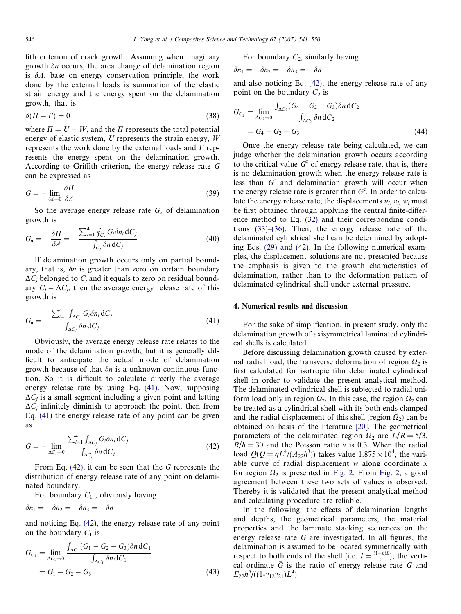fith criterion of crack growth. Assuming when imaginary growth  $\delta n$  occurs, the area change of delamination region is  $\delta A$ , base on energy conservation principle, the work done by the external loads is summation of the elastic strain energy and the energy spent on the delamination growth, that is

$$
\delta(\Pi + \Gamma) = 0 \tag{38}
$$

where  $\Pi = U - W$ , and the  $\Pi$  represents the total potential energy of elastic system,  $U$  represents the strain energy,  $W$ represents the work done by the external loads and  $\Gamma$  represents the energy spent on the delamination growth. According to Griffith criterion, the energy release rate G can be expressed as

$$
G = -\lim_{\delta A \to 0} \frac{\delta \Pi}{\delta A} \tag{39}
$$

So the average energy release rate  $G_a$  of delamination growth is

$$
G_{\rm a} = -\frac{\delta \Pi}{\delta A} = -\frac{\sum_{i=1}^{4} \oint_{C_j} G_i \delta n_i \, \mathrm{d}C_j}{\int_{C_j} \delta n \, \mathrm{d}C_j} \tag{40}
$$

If delamination growth occurs only on partial boundary, that is,  $\delta n$  is greater than zero on certain boundary  $\Delta C_i$  belonged to  $C_i$  and it equals to zero on residual boundary  $C_j - \Delta C_j$ , then the average energy release rate of this growth is

$$
G_{\rm a} = -\frac{\sum_{i=1}^{4} \int_{\Delta C_j} G_i \delta n_i \, \mathrm{d}C_j}{\int_{\Delta C_j} \delta n \, \mathrm{d}C_j} \tag{41}
$$

Obviously, the average energy release rate relates to the mode of the delamination growth, but it is generally difficult to anticipate the actual mode of delamination growth because of that  $\delta n$  is a unknown continuous function. So it is difficult to calculate directly the average energy release rate by using Eq. (41). Now, supposing  $\Delta C_i$  is a small segment including a given point and letting  $\Delta C_i$  infinitely diminish to approach the point, then from Eq. (41) the energy release rate of any point can be given as

$$
G = -\lim_{\Delta C_j \to 0} \frac{\sum_{i=1}^4 \int_{\Delta C_j} G_i \delta n_i \, dC_j}{\int_{\Delta C_j} \delta n \, dC_j} \tag{42}
$$

From Eq.  $(42)$ , it can be seen that the G represents the distribution of energy release rate of any point on delaminated boundary.

For boundary  $C_1$ , obviously having

 $\delta n_1 = -\delta n_2 = -\delta n_3 = -\delta n$ 

and noticing Eq. (42), the energy release rate of any point on the boundary  $C_1$  is

$$
G_{C_1} = \lim_{\Delta C_1 \to 0} \frac{\int_{\Delta C_1} (G_1 - G_2 - G_3) \delta n \, dC_1}{\int_{\Delta C_1} \delta n \, dC_1}
$$
  
=  $G_1 - G_2 - G_3$  (43)

For boundary  $C_2$ , similarly having

$$
\delta n_4 = -\delta n_2 = -\delta n_3 = -\delta n
$$

and also noticing Eq. (42), the energy release rate of any point on the boundary  $C_2$  is

$$
G_{C_2} = \lim_{\Delta C_2 \to 0} \frac{\int_{\Delta C_2} (G_4 - G_2 - G_3) \delta n \, dC_2}{\int_{\Delta C_2} \delta n \, dC_2}
$$
  
=  $G_4 - G_2 - G_3$  (44)

Once the energy release rate being calculated, we can judge whether the delamination growth occurs according to the critical value  $G<sup>c</sup>$  of energy release rate, that is, there is no delamination growth when the energy release rate is less than  $G<sup>c</sup>$  and delamination growth will occur when the energy release rate is greater than  $G<sup>c</sup>$ . In order to calculate the energy release rate, the displacements  $u_i$ ,  $v_i$ ,  $w_i$  must be first obtained through applying the central finite-difference method to Eq. [\(32\)](#page-4-0) and their corresponding conditions [\(33\)–\(36\).](#page-4-0) Then, the energy release rate of the delaminated cylindrical shell can be determined by adopting Eqs. [\(29\) and \(42\)](#page-4-0). In the following numerical examples, the displacement solutions are not presented because the emphasis is given to the growth characteristics of delamination, rather than to the deformation pattern of delaminated cylindrical shell under external pressure.

#### 4. Numerical results and discussion

For the sake of simplification, in present study, only the delamination growth of axisymmetrical laminated cylindrical shells is calculated.

Before discussing delamination growth caused by external radial load, the transverse deformation of region  $\Omega_2$  is first calculated for isotropic film delaminated cylindrical shell in order to validate the present analytical method. The delaminated cylindrical shell is subjected to radial uniform load only in region  $\Omega_2$ . In this case, the region  $\Omega_2$  can be treated as a cylindrical shell with its both ends clamped and the radial displacement of this shell (region  $\Omega_2$ ) can be obtained on basis of the literature [\[20\].](#page-9-0) The geometrical parameters of the delaminated region  $\Omega_2$  are  $L/R = 5/3$ ,  $R/h = 30$  and the Poisson ratio v is 0.3. When the radial load  $Q(Q = qL^4/(A_{22}h^3))$  takes value  $1.875 \times 10^4$ , the variable curve of radial displacement  $w$  along coordinate  $x$ for region  $\Omega_2$  is presented in [Fig. 2.](#page-6-0) From [Fig. 2](#page-6-0), a good agreement between these two sets of values is observed. Thereby it is validated that the present analytical method and calculating procedure are reliable.

In the following, the effects of delamination lengths and depths, the geometrical parameters, the material properties and the laminate stacking sequences on the energy release rate G are investigated. In all figures, the delamination is assumed to be located symmetrically with respect to both ends of the shell (i.e.  $l = \frac{(1-\beta)L}{2}$ ), the vertical ordinate  $\bar{G}$  is the ratio of energy release rate G and  $E_{22}h^{5}/((1-v_{12}v_{21})L^{4}).$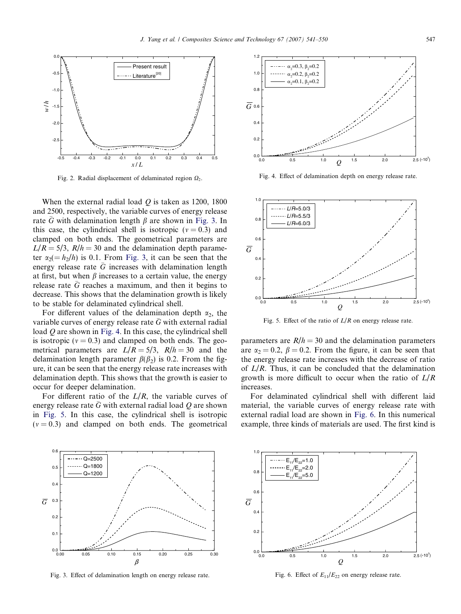<span id="page-6-0"></span>

Fig. 2. Radial displacement of delaminated region  $\Omega_2$ .

When the external radial load  $Q$  is taken as 1200, 1800 and 2500, respectively, the variable curves of energy release rate  $\bar{G}$  with delamination length  $\beta$  are shown in Fig. 3. In this case, the cylindrical shell is isotropic ( $v = 0.3$ ) and clamped on both ends. The geometrical parameters are  $L/R = 5/3$ ,  $R/h = 30$  and the delamination depth parameter  $\alpha_2(= h_2/h)$  is 0.1. From Fig. 3, it can be seen that the energy release rate  $\bar{G}$  increases with delamination length at first, but when  $\beta$  increases to a certain value, the energy release rate  $\bar{G}$  reaches a maximum, and then it begins to decrease. This shows that the delamination growth is likely to be stable for delaminated cylindrical shell.

For different values of the delamination depth  $\alpha_2$ , the variable curves of energy release rate  $\bar{G}$  with external radial load Q are shown in Fig. 4. In this case, the cylindrical shell is isotropic ( $v = 0.3$ ) and clamped on both ends. The geometrical parameters are  $L/R = 5/3$ ,  $R/h = 30$  and the delamination length parameter  $\beta(\beta_2)$  is 0.2. From the figure, it can be seen that the energy release rate increases with delamination depth. This shows that the growth is easier to occur for deeper delamination.

For different ratio of the  $L/R$ , the variable curves of energy release rate  $\bar{G}$  with external radial load  $\overline{Q}$  are shown in Fig. 5. In this case, the cylindrical shell is isotropic  $(v = 0.3)$  and clamped on both ends. The geometrical



Fig. 4. Effect of delamination depth on energy release rate.



Fig. 5. Effect of the ratio of  $L/R$  on energy release rate.

parameters are  $R/h = 30$  and the delamination parameters are  $\alpha_2 = 0.2$ ,  $\beta = 0.2$ . From the figure, it can be seen that the energy release rate increases with the decrease of ratio of  $L/R$ . Thus, it can be concluded that the delamination growth is more difficult to occur when the ratio of  $L/R$ increases.

For delaminated cylindrical shell with different laid material, the variable curves of energy release rate with external radial load are shown in Fig. 6. In this numerical example, three kinds of materials are used. The first kind is



Fig. 3. Effect of delamination length on energy release rate.



Fig. 6. Effect of  $E_{11}/E_{22}$  on energy release rate.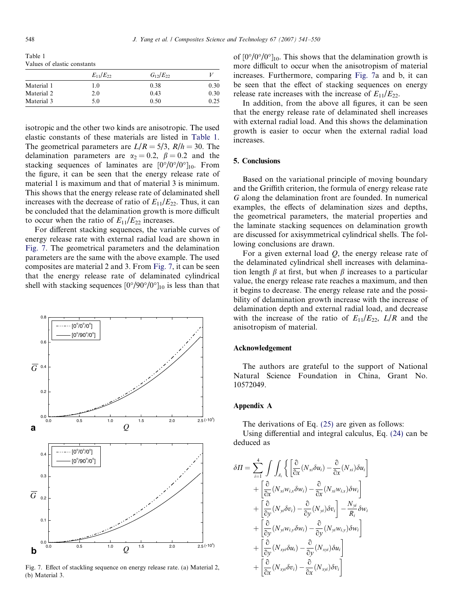<span id="page-7-0"></span>Table 1 Values of elastic constants

|            | $E_{11}/E_{22}$ | $G_{12}/E_{22}$ |      |
|------------|-----------------|-----------------|------|
| Material 1 | 1.0             | 0.38            | 0.30 |
| Material 2 | 2.0             | 0.43            | 0.30 |
| Material 3 | 5.0             | 0.50            | 0.25 |

isotropic and the other two kinds are anisotropic. The used elastic constants of these materials are listed in Table 1. The geometrical parameters are  $L/R = 5/3$ ,  $R/h = 30$ . The delamination parameters are  $\alpha_2 = 0.2$ ,  $\beta = 0.2$  and the stacking sequences of laminates are  $[0^{\circ}/0^{\circ}/0^{\circ}]_{10}$ . From the figure, it can be seen that the energy release rate of material 1 is maximum and that of material 3 is minimum. This shows that the energy release rate of delaminated shell increases with the decrease of ratio of  $E_{11}/E_{22}$ . Thus, it can be concluded that the delamination growth is more difficult to occur when the ratio of  $E_{11}/E_{22}$  increases.

For different stacking sequences, the variable curves of energy release rate with external radial load are shown in Fig. 7. The geometrical parameters and the delamination parameters are the same with the above example. The used composites are material 2 and 3. From Fig. 7, it can be seen that the energy release rate of delaminated cylindrical shell with stacking sequences  $[0^{\circ}/90^{\circ}/0^{\circ}]_{10}$  is less than that



Fig. 7. Effect of stackling sequence on energy release rate. (a) Material 2, (b) Material 3.

of  $[0^{\circ}/0^{\circ}/0^{\circ}]_{10}$ . This shows that the delamination growth is more difficult to occur when the anisotropism of material increases. Furthermore, comparing Fig. 7a and b, it can be seen that the effect of stacking sequences on energy release rate increases with the increase of  $E_{11}/E_{22}$ .

In addition, from the above all figures, it can be seen that the energy release rate of delaminated shell increases with external radial load. And this shows the delamination growth is easier to occur when the external radial load increases.

#### 5. Conclusions

Based on the variational principle of moving boundary and the Griffith criterion, the formula of energy release rate G along the delamination front are founded. In numerical examples, the effects of delamination sizes and depths, the geometrical parameters, the material properties and the laminate stacking sequences on delamination growth are discussed for axisymmetrical cylindrical shells. The following conclusions are drawn.

For a given external load  $Q$ , the energy release rate of the delaminated cylindrical shell increases with delamination length  $\beta$  at first, but when  $\beta$  increases to a particular value, the energy release rate reaches a maximum, and then it begins to decrease. The energy release rate and the possibility of delamination growth increase with the increase of delamination depth and external radial load, and decrease with the increase of the ratio of  $E_1/E_{22}$ ,  $L/R$  and the anisotropism of material.

## Acknowledgement

The authors are grateful to the support of National Natural Science Foundation in China, Grant No. 10572049.

## Appendix A

The derivations of Eq. [\(25\)](#page-3-0) are given as follows:

Using differential and integral calculus, Eq. [\(24\)](#page-3-0) can be deduced as

$$
\delta \Pi = \sum_{i=1}^{4} \int \int_{A_i} \left\{ \left[ \frac{\partial}{\partial x} (N_{xi} \delta u_i) - \frac{\partial}{\partial x} (N_{xi}) \delta u_i \right] + \left[ \frac{\partial}{\partial x} (N_{xi} w_{i,x} \delta w_i) - \frac{\partial}{\partial x} (N_{xi} w_{i,x} \delta w_i \right] + \left[ \frac{\partial}{\partial y} (N_{yi} \delta v_i) - \frac{\partial}{\partial y} (N_{yi}) \delta v_i \right] - \frac{N_{yi}}{R_i} \delta w_i + \left[ \frac{\partial}{\partial y} (N_{yi} w_{i,y} \delta w_i) - \frac{\partial}{\partial y} (N_{yi} w_{i,y}) \delta w_i \right] + \left[ \frac{\partial}{\partial y} (N_{xy} \delta u_i) - \frac{\partial}{\partial y} (N_{xyi}) \delta u_i \right] + \left[ \frac{\partial}{\partial x} (N_{xyi} \delta v_i) - \frac{\partial}{\partial x} (N_{xyi}) \delta v_i \right]
$$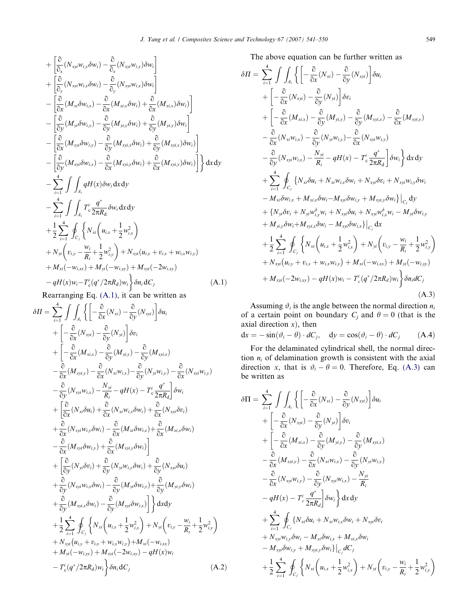<span id="page-8-0"></span>
$$
+\left[\frac{\partial}{\partial_{x}}(N_{xyi}w_{i,y}\delta w_{i}) - \frac{\partial}{\partial_{x}}(N_{xyi}w_{i,y})\delta w_{i}\right] + \left[\frac{\partial}{\partial_{y}}(N_{xyi}w_{i,x}\delta w_{i}) - \frac{\partial}{\partial_{y}}(N_{xyi}w_{i,x})\delta w_{i}\right] - \left[\frac{\partial}{\partial_{x}}(M_{xi}\delta w_{i,x}) - \frac{\partial}{\partial_{x}}(M_{xi,x}\delta w_{i}) + \frac{\partial}{\partial_{x}}(M_{xi,x})\delta w_{i}\right] - \left[\frac{\partial}{\partial y}(M_{yi}\delta w_{i,y}) - \frac{\partial}{\partial y}(M_{yi,y}\delta w_{i}) + \frac{\partial}{\partial y}(M_{yi,y})\delta w_{i}\right] - \left[\frac{\partial}{\partial x}(M_{xyi}\delta w_{i,y}) - \frac{\partial}{\partial y}(M_{xyi,x}\delta w_{i}) + \frac{\partial}{\partial y}(M_{xyi,x})\delta w_{i}\right] - \left[\frac{\partial}{\partial y}(M_{xyi}\delta w_{i,x}) - \frac{\partial}{\partial x}(M_{xyi,y}\delta w_{i}) + \frac{\partial}{\partial x}(M_{xyi,y})\delta w_{i}\right] \right} dxdy - \sum_{i=1}^{4} \int \int_{A_{i}} qH(x)\delta w_{i} dxdy + \frac{1}{2} \sum_{i=1}^{4} \int \int_{A_{i}} T_{c}^{i} \frac{q^{*}}{2\pi R_{d}} \delta w_{i} dxdy + \frac{1}{2} \sum_{i=1}^{4} \oint_{C_{i}} \left\{ N_{xi}(u_{i,x} + \frac{1}{2}w_{i,x}^{2}) + N_{xyi}(u_{i,y} + v_{i,x} + w_{i,x}w_{i,y}) + N_{yi}(v_{i,y} - \frac{w_{i}}{R_{i}} + \frac{1}{2}w_{i,y}^{2}) + N_{xyi}(u_{i,y} + v_{i,x} + w_{i,x}w_{i,y}) - qH(x)w_{i} - T_{c}^{i}(q^{*}/2\pi R_{d})w_{i} \right\} \delta n_{i} dC_{j}
$$
\n(A.1)

Rearranging Eq. [\(A.1\)](#page-7-0), it can be written as

$$
\delta\Pi = \sum_{i=1}^{4} \int \int_{A_i} \left\{ \left[ -\frac{\partial}{\partial x} (N_{xi}) - \frac{\partial}{\partial y} (N_{xyi}) \right] \delta u_i \right. \n+ \left[ -\frac{\partial}{\partial x} (N_{xyi}) - \frac{\partial}{\partial y} (N_{yi}) \right] \delta v_i \n+ \left[ -\frac{\partial}{\partial x} (M_{xix}) - \frac{\partial}{\partial y} (M_{yiy}) - \frac{\partial}{\partial y} (M_{xyix}) \right. \n- \frac{\partial}{\partial x} (M_{xyix}) - \frac{\partial}{\partial x} (N_{xi'xy}) - \frac{\partial}{\partial y} (N_{yi} w_{ix}) - \frac{\partial}{\partial x} (N_{xyi} w_{ix}) \right. \n- \frac{\partial}{\partial y} (N_{xyi} w_{ix}) - \frac{N_{yi}}{R_i} - qH(x) - T_c^i \frac{q^*}{2\pi R_d} \delta w_i \n+ \left[ \frac{\partial}{\partial x} (N_{xi} \delta u_i) + \frac{\partial}{\partial x} (N_{xi} w_{ix} \delta w_i) + \frac{\partial}{\partial x} (N_{xyi} \delta v_i) \right. \n+ \frac{\partial}{\partial x} (N_{xyi} w_{iy} \delta w_i) - \frac{\partial}{\partial x} (M_{xi} \delta w_{ix}) + \frac{\partial}{\partial x} (M_{xi} \delta w_i) \n- \frac{\partial}{\partial x} (M_{xyi} \delta w_{iy}) + \frac{\partial}{\partial x} (M_{xyi} \delta w_i) \right] \n+ \left[ \frac{\partial}{\partial y} (N_{yi} \delta v_i) + \frac{\partial}{\partial y} (N_{yi} w_{iy} \delta w_i) \right] \n+ \frac{\partial}{\partial y} (N_{xyi} w_{ix} \delta w_i) - \frac{\partial}{\partial y} (M_{yi} \delta w_{iy}) + \frac{\partial}{\partial y} (N_{xyi} \delta u_i) \n+ \frac{\partial}{\partial y} (N_{xyi} w_{ix} \delta w_i) - \frac{\partial}{\partial y} (M_{yi} \delta w_{ix}) \right\} dxdy \n+ \frac{1}{2} \sum_{i=1}^{4} \oint_{C_i} \left\{ N_{xi} \left( u_{ix} + \frac{1}{2} w_{ix}^2 \right)
$$

The above equation can be further written as

$$
\delta\Pi = \sum_{i=1}^{4} \int \int_{A_i} \left\{ \left[ -\frac{\partial}{\partial x} (N_{xi}) - \frac{\partial}{\partial y} (N_{xyi}) \right] \delta u_i \right.\n+ \left[ -\frac{\partial}{\partial x} (N_{xyi}) - \frac{\partial}{\partial y} (N_{yi}) \right] \delta v_i \n+ \left[ -\frac{\partial}{\partial x} (M_{xix}) - \frac{\partial}{\partial y} (M_{yiy}) - \frac{\partial}{\partial y} (M_{xyix}) - \frac{\partial}{\partial x} (M_{xyiy}) \right.\n- \frac{\partial}{\partial x} (N_{xi} w_{ix}) - \frac{\partial}{\partial y} (N_{yi} w_{iy}) - \frac{\partial}{\partial x} (N_{xyi} w_{iy}) \n- \frac{\partial}{\partial y} (N_{xyi} w_{ix}) - \frac{N_{yi}}{R_i} - qH(x) - T_c^i \frac{q^*}{2\pi R_d} \right] \delta w_i \right\} dx dy \n+ \sum_{i=1}^{4} \oint_{C_j} \left\{ N_{xi} \delta u_i + N_{xi} w_{ix} \delta w_i + N_{xyi} \delta v_i + N_{xyi} w_{iy} \delta w_i \right.\n- M_{xi} \delta w_{ix} + M_{xi} x \delta w_i - M_{xyi} \delta w_{iy} + M_{xyi} y \delta w_i \right\} |_{C_j} dy \n+ \left\{ N_{yi} \delta v_i + N_{yi} w_{iy} \delta w_i + N_{xyi} \delta u_i + N_{xyi} w_{ix} \delta w_i - M_{yi} \delta w_{iy} \right.\n+ M_{yix} y \delta w_i + M_{xyix} \delta w_i - M_{xyi} \delta w_{ix} \right\} |_{C_j} dx \n+ \frac{1}{2} \sum_{i=1}^{4} \oint_{C_j} \left\{ N_{xi} \left( u_{ix} + \frac{1}{2} w_{ix}^2 \right) + N_{yi} \left( v_{iy} - \frac{w_i}{R_i} + \frac{1}{2} w_{iy}^2 \right) \right.\n+ N_{xyi} (u_{iy} + v_{ix} + w_{ix} w_{iy}) + M_{xi} (-w_{ixx}) + M_{yi} (-w_{iyy}) \n+ M_{xyi} (-2w_{ixy}) - qH(x) w_i - T_c^i (q^* / 2\pi R_d
$$

Assuming  $\vartheta_i$  is the angle between the normal direction  $n_i$ of a certain point on boundary  $C_i$  and  $\theta = 0$  (that is the axial direction  $x$ ), then

$$
dx = -\sin(\vartheta_i - \theta) \cdot dC_j, \quad dy = \cos(\vartheta_i - \theta) \cdot dC_j \quad (A.4)
$$

For the delaminated cylindrical shell, the normal direction  $n_i$  of delamination growth is consistent with the axial direction x, that is  $\vartheta_i - \theta = 0$ . Therefore, Eq. (A.3) can be written as

$$
\delta\Pi = \sum_{i=1}^{4} \int \int_{A_i} \left\{ \left[ -\frac{\partial}{\partial x} (N_{xi}) - \frac{\partial}{\partial y} (N_{xyi}) \right] \delta u_i \right. \left. + \left[ -\frac{\partial}{\partial x} (N_{xyi}) - \frac{\partial}{\partial y} (N_{yi}) \right] \delta v_i \right. \left. + \left[ -\frac{\partial}{\partial x} (M_{xix}) - \frac{\partial}{\partial y} (M_{yiy}) - \frac{\partial}{\partial y} (M_{xyix}) \right. \right. \left. - \frac{\partial}{\partial x} (M_{xyi,y}) - \frac{\partial}{\partial x} (N_{xi} w_{ix}) - \frac{\partial}{\partial y} (N_{yi} w_{iy}) \right. \left. - \frac{\partial}{\partial x} (N_{xyi} w_{iy}) - \frac{\partial}{\partial y} (N_{xyi} w_{ix}) - \frac{N_{yi}}{R_i} \right. \left. - qH(x) - T_c^i \frac{q^*}{2\pi R_d} \right\} \delta w_i \right\} dx dy \left. + \sum_{i=1}^{4} \oint_{C_j} \left\{ N_{xi} \delta u_i + N_{xi} w_{ix} \delta w_i + N_{xyi} \delta v_i \right. \left. + N_{xyi} w_{iy} \delta w_i - M_{xi} \delta w_{ix} + M_{xix} \delta w_i \right. \left. - M_{xyi} \delta w_{iy} + M_{xyi,y} \delta w_i \right\} \Big|_{C_j} dC_j \left. + \frac{1}{2} \sum_{i=1}^{4} \oint_{C_j} \left\{ N_{xi} \left( u_{ix} + \frac{1}{2} w_{ix}^2 \right) + N_{yi} \left( v_{iy} - \frac{w_i}{R_i} + \frac{1}{2} w_{iy}^2 \right) \right\} \right.
$$